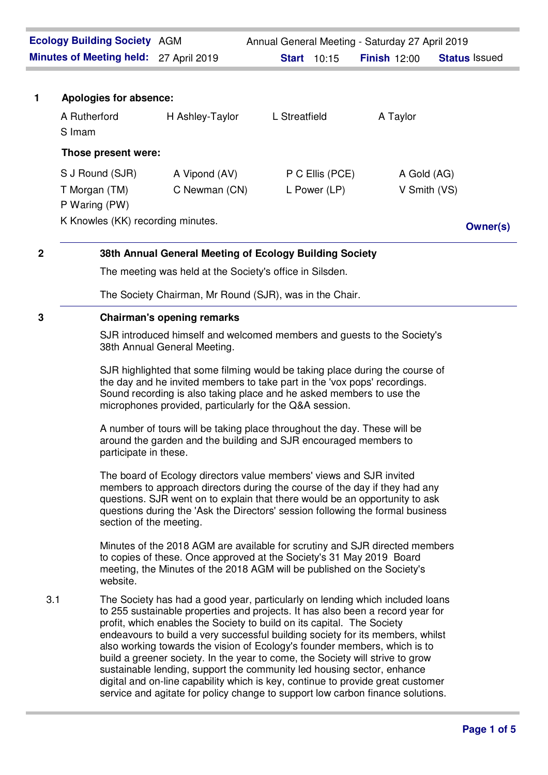| <b>Ecology Building Society AGM</b> |                                                                                                                     |                                                                                                                                                                                                                                                                                                                                                                                                                                                                                                                                                                                                                                                                                                                                          | Annual General Meeting - Saturday 27 April 2019 |                 |                     |                      |  |
|-------------------------------------|---------------------------------------------------------------------------------------------------------------------|------------------------------------------------------------------------------------------------------------------------------------------------------------------------------------------------------------------------------------------------------------------------------------------------------------------------------------------------------------------------------------------------------------------------------------------------------------------------------------------------------------------------------------------------------------------------------------------------------------------------------------------------------------------------------------------------------------------------------------------|-------------------------------------------------|-----------------|---------------------|----------------------|--|
|                                     | Minutes of Meeting held: 27 April 2019                                                                              |                                                                                                                                                                                                                                                                                                                                                                                                                                                                                                                                                                                                                                                                                                                                          | <b>Start</b> 10:15                              |                 | <b>Finish 12:00</b> | <b>Status Issued</b> |  |
|                                     |                                                                                                                     |                                                                                                                                                                                                                                                                                                                                                                                                                                                                                                                                                                                                                                                                                                                                          |                                                 |                 |                     |                      |  |
| $\mathbf{1}$                        | Apologies for absence:<br>A Rutherford                                                                              | H Ashley-Taylor                                                                                                                                                                                                                                                                                                                                                                                                                                                                                                                                                                                                                                                                                                                          | L Streatfield                                   |                 | A Taylor            |                      |  |
|                                     | S Imam                                                                                                              |                                                                                                                                                                                                                                                                                                                                                                                                                                                                                                                                                                                                                                                                                                                                          |                                                 |                 |                     |                      |  |
|                                     | Those present were:                                                                                                 |                                                                                                                                                                                                                                                                                                                                                                                                                                                                                                                                                                                                                                                                                                                                          |                                                 |                 |                     |                      |  |
|                                     | S J Round (SJR)                                                                                                     | A Vipond (AV)                                                                                                                                                                                                                                                                                                                                                                                                                                                                                                                                                                                                                                                                                                                            |                                                 | P C Ellis (PCE) | A Gold (AG)         |                      |  |
|                                     | T Morgan (TM)                                                                                                       | C Newman (CN)                                                                                                                                                                                                                                                                                                                                                                                                                                                                                                                                                                                                                                                                                                                            |                                                 | L Power (LP)    | V Smith (VS)        |                      |  |
|                                     | P Waring (PW)<br>K Knowles (KK) recording minutes.                                                                  |                                                                                                                                                                                                                                                                                                                                                                                                                                                                                                                                                                                                                                                                                                                                          |                                                 |                 |                     | <b>Owner(s)</b>      |  |
| $\mathbf 2$                         |                                                                                                                     |                                                                                                                                                                                                                                                                                                                                                                                                                                                                                                                                                                                                                                                                                                                                          |                                                 |                 |                     |                      |  |
|                                     | 38th Annual General Meeting of Ecology Building Society<br>The meeting was held at the Society's office in Silsden. |                                                                                                                                                                                                                                                                                                                                                                                                                                                                                                                                                                                                                                                                                                                                          |                                                 |                 |                     |                      |  |
|                                     | The Society Chairman, Mr Round (SJR), was in the Chair.                                                             |                                                                                                                                                                                                                                                                                                                                                                                                                                                                                                                                                                                                                                                                                                                                          |                                                 |                 |                     |                      |  |
| 3                                   | <b>Chairman's opening remarks</b>                                                                                   |                                                                                                                                                                                                                                                                                                                                                                                                                                                                                                                                                                                                                                                                                                                                          |                                                 |                 |                     |                      |  |
|                                     | SJR introduced himself and welcomed members and guests to the Society's<br>38th Annual General Meeting.             |                                                                                                                                                                                                                                                                                                                                                                                                                                                                                                                                                                                                                                                                                                                                          |                                                 |                 |                     |                      |  |
|                                     |                                                                                                                     | SJR highlighted that some filming would be taking place during the course of<br>the day and he invited members to take part in the 'vox pops' recordings.<br>Sound recording is also taking place and he asked members to use the<br>microphones provided, particularly for the Q&A session.                                                                                                                                                                                                                                                                                                                                                                                                                                             |                                                 |                 |                     |                      |  |
|                                     |                                                                                                                     | A number of tours will be taking place throughout the day. These will be<br>around the garden and the building and SJR encouraged members to<br>participate in these.                                                                                                                                                                                                                                                                                                                                                                                                                                                                                                                                                                    |                                                 |                 |                     |                      |  |
|                                     |                                                                                                                     | The board of Ecology directors value members' views and SJR invited<br>members to approach directors during the course of the day if they had any<br>questions. SJR went on to explain that there would be an opportunity to ask<br>questions during the 'Ask the Directors' session following the formal business<br>section of the meeting.                                                                                                                                                                                                                                                                                                                                                                                            |                                                 |                 |                     |                      |  |
|                                     | website.                                                                                                            | Minutes of the 2018 AGM are available for scrutiny and SJR directed members<br>to copies of these. Once approved at the Society's 31 May 2019 Board<br>meeting, the Minutes of the 2018 AGM will be published on the Society's                                                                                                                                                                                                                                                                                                                                                                                                                                                                                                           |                                                 |                 |                     |                      |  |
| 3.1                                 |                                                                                                                     | The Society has had a good year, particularly on lending which included loans<br>to 255 sustainable properties and projects. It has also been a record year for<br>profit, which enables the Society to build on its capital. The Society<br>endeavours to build a very successful building society for its members, whilst<br>also working towards the vision of Ecology's founder members, which is to<br>build a greener society. In the year to come, the Society will strive to grow<br>sustainable lending, support the community led housing sector, enhance<br>digital and on-line capability which is key, continue to provide great customer<br>service and agitate for policy change to support low carbon finance solutions. |                                                 |                 |                     |                      |  |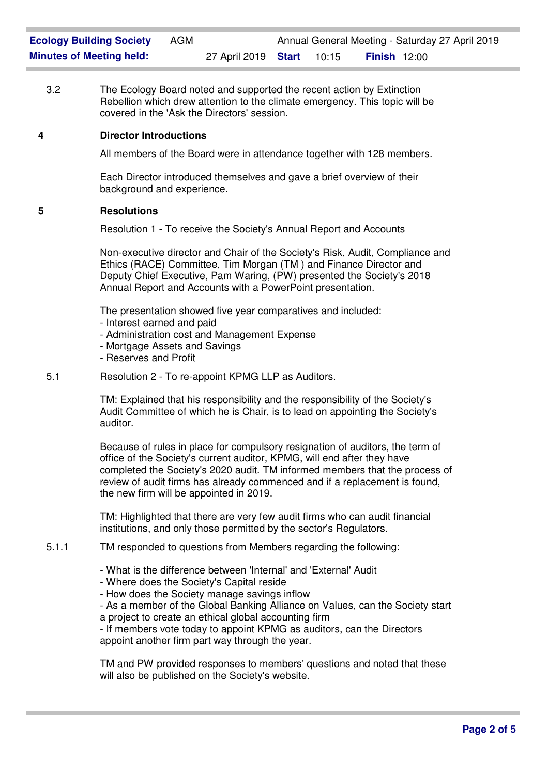3.2 The Ecology Board noted and supported the recent action by Extinction Rebellion which drew attention to the climate emergency. This topic will be covered in the 'Ask the Directors' session.

## **4 Director Introductions**

All members of the Board were in attendance together with 128 members.

Each Director introduced themselves and gave a brief overview of their background and experience.

# **5 Resolutions**

Resolution 1 - To receive the Society's Annual Report and Accounts

Non-executive director and Chair of the Society's Risk, Audit, Compliance and Ethics (RACE) Committee, Tim Morgan (TM ) and Finance Director and Deputy Chief Executive, Pam Waring, (PW) presented the Society's 2018 Annual Report and Accounts with a PowerPoint presentation.

The presentation showed five year comparatives and included:

- Interest earned and paid
- Administration cost and Management Expense
- Mortgage Assets and Savings
- Reserves and Profit
- 5.1 Resolution 2 To re-appoint KPMG LLP as Auditors.

TM: Explained that his responsibility and the responsibility of the Society's Audit Committee of which he is Chair, is to lead on appointing the Society's auditor.

Because of rules in place for compulsory resignation of auditors, the term of office of the Society's current auditor, KPMG, will end after they have completed the Society's 2020 audit. TM informed members that the process of review of audit firms has already commenced and if a replacement is found, the new firm will be appointed in 2019.

TM: Highlighted that there are very few audit firms who can audit financial institutions, and only those permitted by the sector's Regulators.

- 5.1.1 TM responded to questions from Members regarding the following:
	- What is the difference between 'Internal' and 'External' Audit
	- Where does the Society's Capital reside
	- How does the Society manage savings inflow

- As a member of the Global Banking Alliance on Values, can the Society start a project to create an ethical global accounting firm

- If members vote today to appoint KPMG as auditors, can the Directors appoint another firm part way through the year.

TM and PW provided responses to members' questions and noted that these will also be published on the Society's website.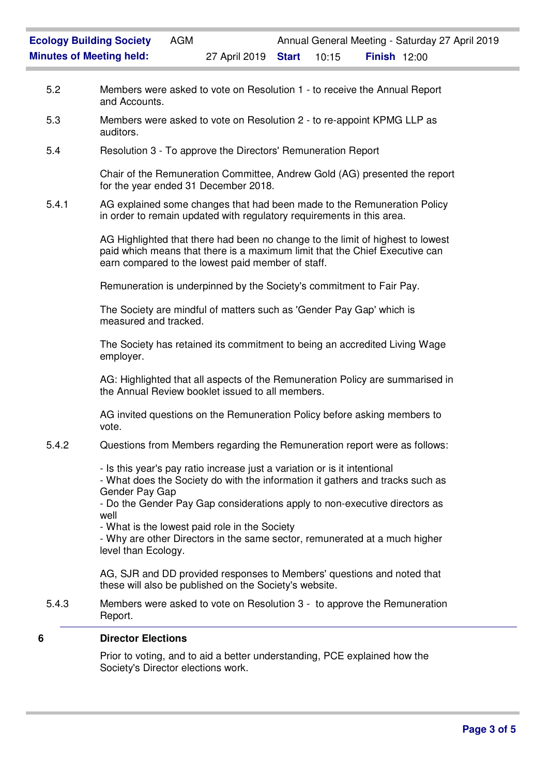- 5.2 Members were asked to vote on Resolution 1 to receive the Annual Report and Accounts.
- 5.3 Members were asked to vote on Resolution 2 to re-appoint KPMG LLP as auditors.
- 5.4 Resolution 3 To approve the Directors' Remuneration Report

Chair of the Remuneration Committee, Andrew Gold (AG) presented the report for the year ended 31 December 2018.

5.4.1 AG explained some changes that had been made to the Remuneration Policy in order to remain updated with regulatory requirements in this area.

> AG Highlighted that there had been no change to the limit of highest to lowest paid which means that there is a maximum limit that the Chief Executive can earn compared to the lowest paid member of staff.

Remuneration is underpinned by the Society's commitment to Fair Pay.

The Society are mindful of matters such as 'Gender Pay Gap' which is measured and tracked.

The Society has retained its commitment to being an accredited Living Wage employer.

AG: Highlighted that all aspects of the Remuneration Policy are summarised in the Annual Review booklet issued to all members.

AG invited questions on the Remuneration Policy before asking members to vote.

5.4.2 Questions from Members regarding the Remuneration report were as follows:

- Is this year's pay ratio increase just a variation or is it intentional

- What does the Society do with the information it gathers and tracks such as Gender Pay Gap

- Do the Gender Pay Gap considerations apply to non-executive directors as well

- What is the lowest paid role in the Society

- Why are other Directors in the same sector, remunerated at a much higher level than Ecology.

AG, SJR and DD provided responses to Members' questions and noted that these will also be published on the Society's website.

5.4.3 Members were asked to vote on Resolution 3 - to approve the Remuneration Report.

## **6 Director Elections**

Prior to voting, and to aid a better understanding, PCE explained how the Society's Director elections work.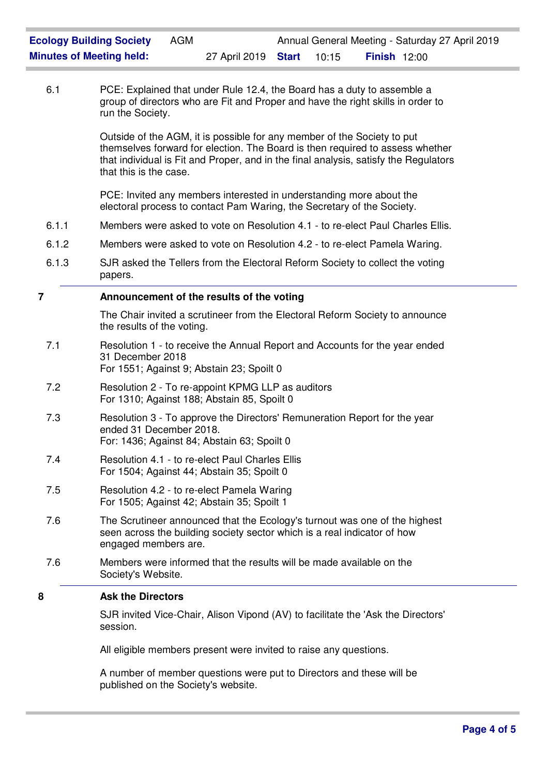6.1 PCE: Explained that under Rule 12.4, the Board has a duty to assemble a group of directors who are Fit and Proper and have the right skills in order to run the Society.

> Outside of the AGM, it is possible for any member of the Society to put themselves forward for election. The Board is then required to assess whether that individual is Fit and Proper, and in the final analysis, satisfy the Regulators that this is the case.

PCE: Invited any members interested in understanding more about the electoral process to contact Pam Waring, the Secretary of the Society.

- 6.1.1 Members were asked to vote on Resolution 4.1 to re-elect Paul Charles Ellis.
- 6.1.2 Members were asked to vote on Resolution 4.2 to re-elect Pamela Waring.
- 6.1.3 SJR asked the Tellers from the Electoral Reform Society to collect the voting papers.

### **7 Announcement of the results of the voting**

The Chair invited a scrutineer from the Electoral Reform Society to announce the results of the voting.

- 7.1 Resolution 1 to receive the Annual Report and Accounts for the year ended 31 December 2018 For 1551; Against 9; Abstain 23; Spoilt 0
- 7.2 Resolution 2 To re-appoint KPMG LLP as auditors For 1310; Against 188; Abstain 85, Spoilt 0
- 7.3 Resolution 3 To approve the Directors' Remuneration Report for the year ended 31 December 2018. For: 1436; Against 84; Abstain 63; Spoilt 0
- 7.4 Resolution 4.1 to re-elect Paul Charles Ellis For 1504; Against 44; Abstain 35; Spoilt 0
- 7.5 Resolution 4.2 to re-elect Pamela Waring For 1505; Against 42; Abstain 35; Spoilt 1
- 7.6 The Scrutineer announced that the Ecology's turnout was one of the highest seen across the building society sector which is a real indicator of how engaged members are.
- 7.6 Members were informed that the results will be made available on the Society's Website.

# **8 Ask the Directors**

SJR invited Vice-Chair, Alison Vipond (AV) to facilitate the 'Ask the Directors' session.

All eligible members present were invited to raise any questions.

A number of member questions were put to Directors and these will be published on the Society's website.